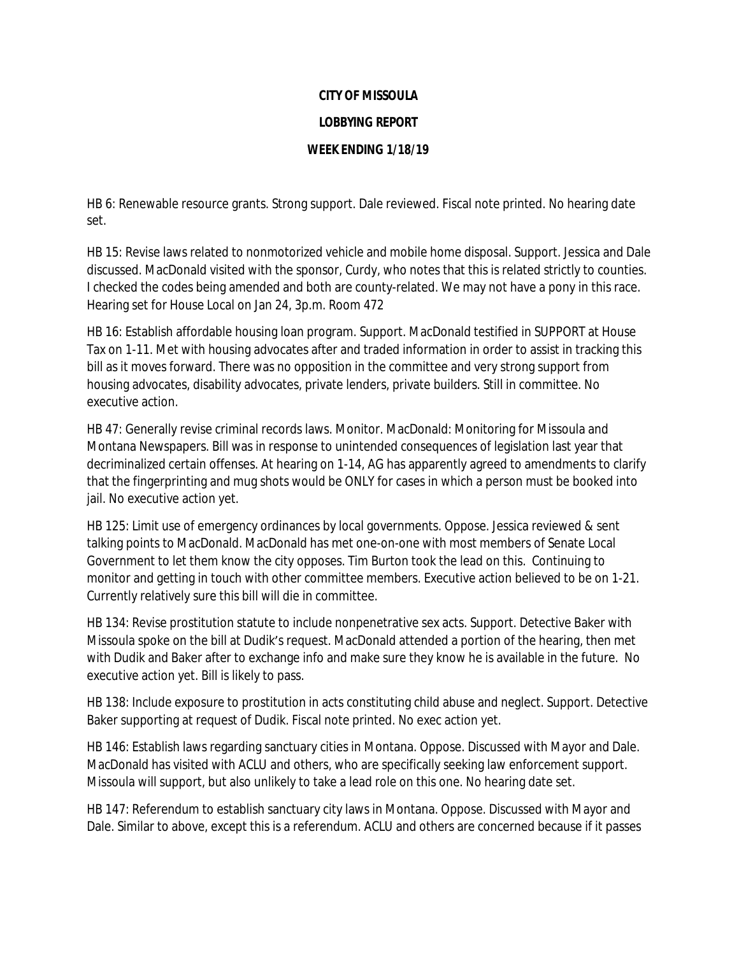## **CITY OF MISSOULA**

## **LOBBYING REPORT**

## **WEEK ENDING 1/18/19**

HB 6: Renewable resource grants. Strong support. Dale reviewed. Fiscal note printed. No hearing date set.

HB 15: Revise laws related to nonmotorized vehicle and mobile home disposal. Support. Jessica and Dale discussed. MacDonald visited with the sponsor, Curdy, who notes that this is related strictly to counties. I checked the codes being amended and both are county-related. We may not have a pony in this race. Hearing set for House Local on Jan 24, 3p.m. Room 472

HB 16: Establish affordable housing loan program. Support. MacDonald testified in SUPPORT at House Tax on 1-11. Met with housing advocates after and traded information in order to assist in tracking this bill as it moves forward. There was no opposition in the committee and very strong support from housing advocates, disability advocates, private lenders, private builders. Still in committee. No executive action.

HB 47: Generally revise criminal records laws. Monitor. MacDonald: Monitoring for Missoula and Montana Newspapers. Bill was in response to unintended consequences of legislation last year that decriminalized certain offenses. At hearing on 1-14, AG has apparently agreed to amendments to clarify that the fingerprinting and mug shots would be ONLY for cases in which a person must be booked into jail. No executive action yet.

HB 125: Limit use of emergency ordinances by local governments. Oppose. Jessica reviewed & sent talking points to MacDonald. MacDonald has met one-on-one with most members of Senate Local Government to let them know the city opposes. Tim Burton took the lead on this. Continuing to monitor and getting in touch with other committee members. Executive action believed to be on 1-21. Currently relatively sure this bill will die in committee.

HB 134: Revise prostitution statute to include nonpenetrative sex acts. Support. Detective Baker with Missoula spoke on the bill at Dudik's request. MacDonald attended a portion of the hearing, then met with Dudik and Baker after to exchange info and make sure they know he is available in the future. No executive action yet. Bill is likely to pass.

HB 138: Include exposure to prostitution in acts constituting child abuse and neglect. Support. Detective Baker supporting at request of Dudik. Fiscal note printed. No exec action yet.

HB 146: Establish laws regarding sanctuary cities in Montana. Oppose. Discussed with Mayor and Dale. MacDonald has visited with ACLU and others, who are specifically seeking law enforcement support. Missoula will support, but also unlikely to take a lead role on this one. No hearing date set.

HB 147: Referendum to establish sanctuary city laws in Montana. Oppose. Discussed with Mayor and Dale. Similar to above, except this is a referendum. ACLU and others are concerned because if it passes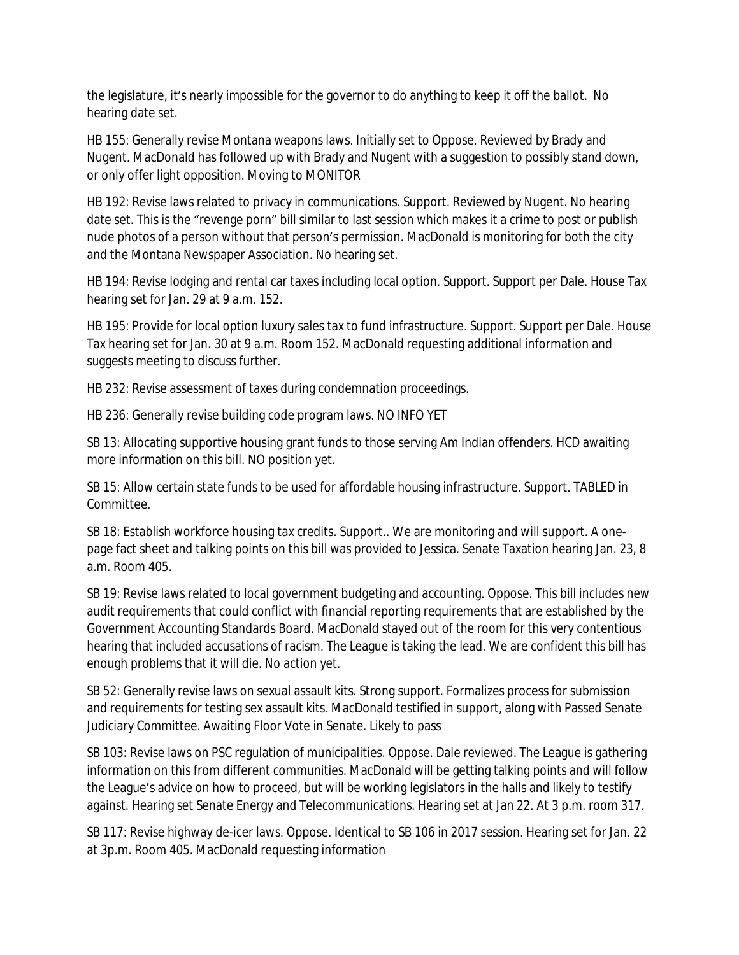the legislature, it's nearly impossible for the governor to do anything to keep it off the ballot. No hearing date set.

HB 155: Generally revise Montana weapons laws. Initially set to Oppose. Reviewed by Brady and Nugent. MacDonald has followed up with Brady and Nugent with a suggestion to possibly stand down, or only offer light opposition. Moving to MONITOR

HB 192: Revise laws related to privacy in communications. Support. Reviewed by Nugent. No hearing date set. This is the "revenge porn" bill similar to last session which makes it a crime to post or publish nude photos of a person without that person's permission. MacDonald is monitoring for both the city and the Montana Newspaper Association. No hearing set.

HB 194: Revise lodging and rental car taxes including local option. Support. Support per Dale. House Tax hearing set for Jan. 29 at 9 a.m. 152.

HB 195: Provide for local option luxury sales tax to fund infrastructure. Support. Support per Dale. House Tax hearing set for Jan. 30 at 9 a.m. Room 152. MacDonald requesting additional information and suggests meeting to discuss further.

HB 232: Revise assessment of taxes during condemnation proceedings.

HB 236: Generally revise building code program laws. NO INFO YET

SB 13: Allocating supportive housing grant funds to those serving Am Indian offenders. HCD awaiting more information on this bill. NO position yet.

SB 15: Allow certain state funds to be used for affordable housing infrastructure. Support. TABLED in Committee.

SB 18: Establish workforce housing tax credits. Support.. We are monitoring and will support. A onepage fact sheet and talking points on this bill was provided to Jessica. Senate Taxation hearing Jan. 23, 8 a.m. Room 405.

SB 19: Revise laws related to local government budgeting and accounting. Oppose. This bill includes new audit requirements that could conflict with financial reporting requirements that are established by the Government Accounting Standards Board. MacDonald stayed out of the room for this very contentious hearing that included accusations of racism. The League is taking the lead. We are confident this bill has enough problems that it will die. No action yet.

SB 52: Generally revise laws on sexual assault kits. Strong support. Formalizes process for submission and requirements for testing sex assault kits. MacDonald testified in support, along with Passed Senate Judiciary Committee. Awaiting Floor Vote in Senate. Likely to pass

SB 103: Revise laws on PSC regulation of municipalities. Oppose. Dale reviewed. The League is gathering information on this from different communities. MacDonald will be getting talking points and will follow the League's advice on how to proceed, but will be working legislators in the halls and likely to testify against. Hearing set Senate Energy and Telecommunications. Hearing set at Jan 22. At 3 p.m. room 317.

SB 117: Revise highway de-icer laws. Oppose. Identical to SB 106 in 2017 session. Hearing set for Jan. 22 at 3p.m. Room 405. MacDonald requesting information